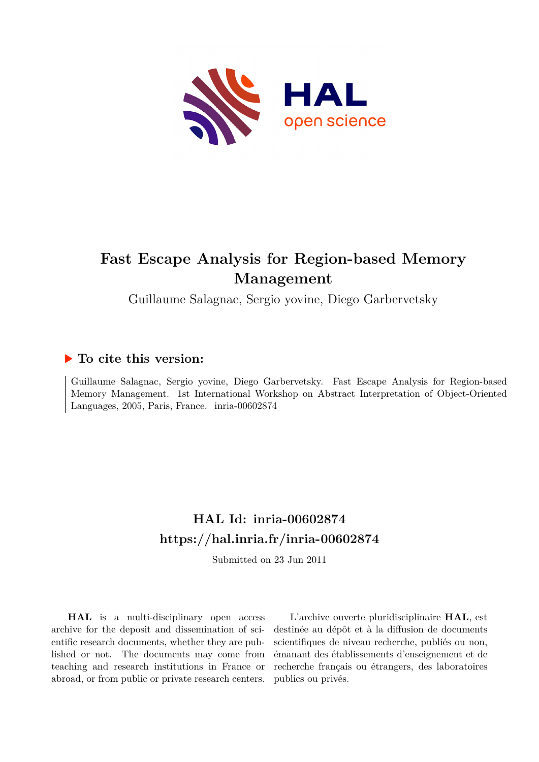

# **Fast Escape Analysis for Region-based Memory Management**

Guillaume Salagnac, Sergio yovine, Diego Garbervetsky

## **To cite this version:**

Guillaume Salagnac, Sergio yovine, Diego Garbervetsky. Fast Escape Analysis for Region-based Memory Management. 1st International Workshop on Abstract Interpretation of Object-Oriented Languages,  $2005$ , Paris, France. inria- $00602874$ 

## **HAL Id: inria-00602874 <https://hal.inria.fr/inria-00602874>**

Submitted on 23 Jun 2011

**HAL** is a multi-disciplinary open access archive for the deposit and dissemination of scientific research documents, whether they are published or not. The documents may come from teaching and research institutions in France or abroad, or from public or private research centers.

L'archive ouverte pluridisciplinaire **HAL**, est destinée au dépôt et à la diffusion de documents scientifiques de niveau recherche, publiés ou non, émanant des établissements d'enseignement et de recherche français ou étrangers, des laboratoires publics ou privés.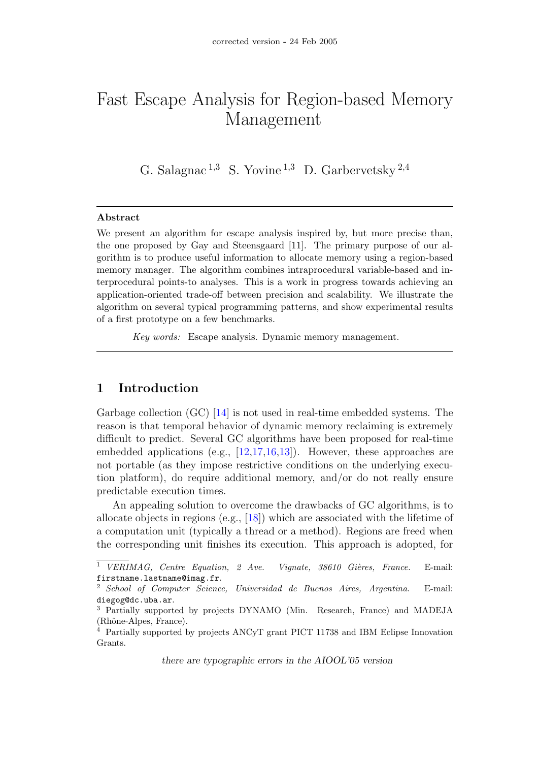# Fast Escape Analysis for Region-based Memory Management

G. Salagnac<sup>1,3</sup> S. Yovine<sup>1,3</sup> D. Garbervetsky<sup>2,4</sup>

#### Abstract

We present an algorithm for escape analysis inspired by, but more precise than, the one proposed by Gay and Steensgaard [11]. The primary purpose of our algorithm is to produce useful information to allocate memory using a region-based memory manager. The algorithm combines intraprocedural variable-based and interprocedural points-to analyses. This is a work in progress towards achieving an application-oriented trade-off between precision and scalability. We illustrate the algorithm on several typical programming patterns, and show experimental results of a first prototype on a few benchmarks.

Key words: Escape analysis. Dynamic memory management.

### 1 Introduction

Garbage collection (GC) [\[14\]](#page-11-0) is not used in real-time embedded systems. The reason is that temporal behavior of dynamic memory reclaiming is extremely difficult to predict. Several GC algorithms have been proposed for real-time embedded applications (e.g., [\[12,](#page-11-1)[17,](#page-11-2)[16,](#page-11-3)[13\]](#page-11-4)). However, these approaches are not portable (as they impose restrictive conditions on the underlying execution platform), do require additional memory, and/or do not really ensure predictable execution times.

An appealing solution to overcome the drawbacks of GC algorithms, is to allocate objects in regions (e.g., [\[18\]](#page-11-5)) which are associated with the lifetime of a computation unit (typically a thread or a method). Regions are freed when the corresponding unit finishes its execution. This approach is adopted, for

there are typographic errors in the AIOOL'05 version

<sup>&</sup>lt;sup>1</sup> VERIMAG, Centre Equation, 2 Ave. Vignate,  $38610$  Gières, France. E-mail: firstname.lastname@imag.fr.

<sup>2</sup> School of Computer Science, Universidad de Buenos Aires, Argentina. E-mail: diegog@dc.uba.ar.

<sup>3</sup> Partially supported by projects DYNAMO (Min. Research, France) and MADEJA (Rhône-Alpes, France).

 $4$  Partially supported by projects ANCyT grant PICT 11738 and IBM Eclipse Innovation Grants.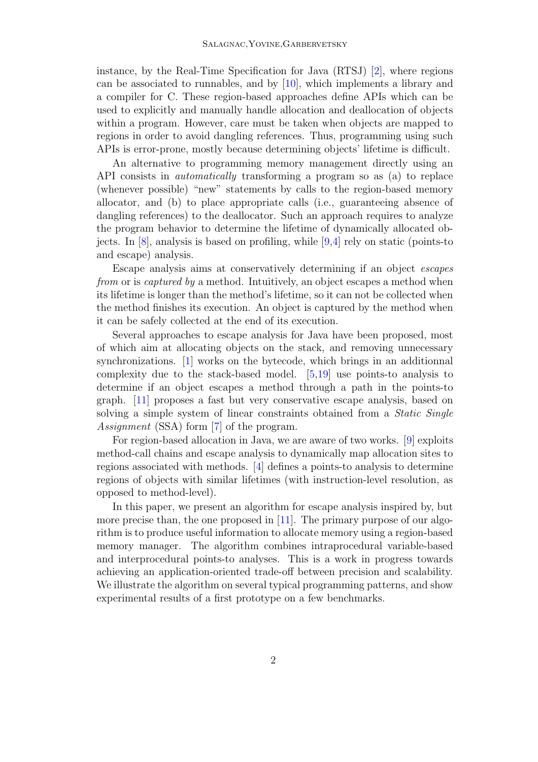instance, by the Real-Time Specification for Java (RTSJ) [\[2\]](#page-10-0), where regions can be associated to runnables, and by [\[10\]](#page-11-6), which implements a library and a compiler for C. These region-based approaches define APIs which can be used to explicitly and manually handle allocation and deallocation of objects within a program. However, care must be taken when objects are mapped to regions in order to avoid dangling references. Thus, programming using such APIs is error-prone, mostly because determining objects' lifetime is difficult.

An alternative to programming memory management directly using an API consists in automatically transforming a program so as (a) to replace (whenever possible) "new" statements by calls to the region-based memory allocator, and (b) to place appropriate calls (i.e., guaranteeing absence of dangling references) to the deallocator. Such an approach requires to analyze the program behavior to determine the lifetime of dynamically allocated objects. In [\[8\]](#page-11-7), analysis is based on profiling, while [\[9,](#page-11-8)[4\]](#page-10-1) rely on static (points-to and escape) analysis.

Escape analysis aims at conservatively determining if an object escapes from or is *captured by* a method. Intuitively, an object escapes a method when its lifetime is longer than the method's lifetime, so it can not be collected when the method finishes its execution. An object is captured by the method when it can be safely collected at the end of its execution.

Several approaches to escape analysis for Java have been proposed, most of which aim at allocating objects on the stack, and removing unnecessary synchronizations. [\[1\]](#page-10-2) works on the bytecode, which brings in an additionnal complexity due to the stack-based model. [\[5](#page-10-3)[,19\]](#page-11-9) use points-to analysis to determine if an object escapes a method through a path in the points-to graph. [\[11\]](#page-11-10) proposes a fast but very conservative escape analysis, based on solving a simple system of linear constraints obtained from a *Static Single* Assignment (SSA) form [\[7\]](#page-10-4) of the program.

For region-based allocation in Java, we are aware of two works. [\[9\]](#page-11-8) exploits method-call chains and escape analysis to dynamically map allocation sites to regions associated with methods. [\[4\]](#page-10-1) defines a points-to analysis to determine regions of objects with similar lifetimes (with instruction-level resolution, as opposed to method-level).

In this paper, we present an algorithm for escape analysis inspired by, but more precise than, the one proposed in [\[11\]](#page-11-10). The primary purpose of our algorithm is to produce useful information to allocate memory using a region-based memory manager. The algorithm combines intraprocedural variable-based and interprocedural points-to analyses. This is a work in progress towards achieving an application-oriented trade-off between precision and scalability. We illustrate the algorithm on several typical programming patterns, and show experimental results of a first prototype on a few benchmarks.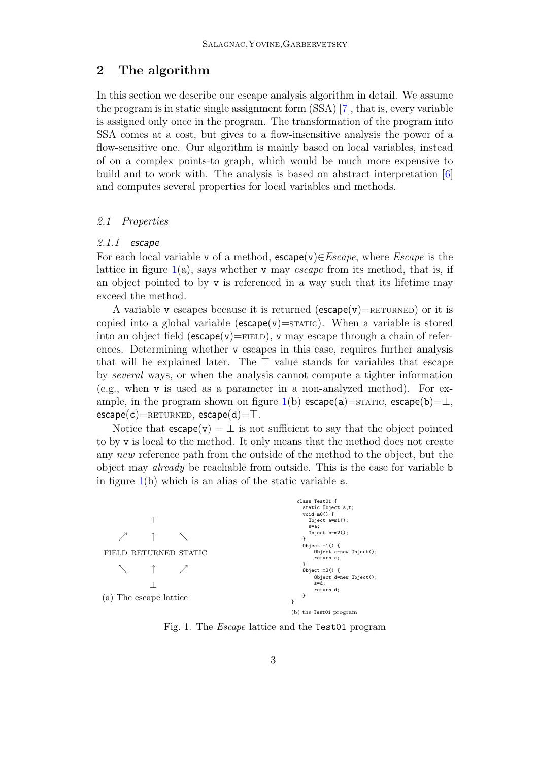### 2 The algorithm

In this section we describe our escape analysis algorithm in detail. We assume the program is in static single assignment form (SSA) [\[7\]](#page-10-4), that is, every variable is assigned only once in the program. The transformation of the program into SSA comes at a cost, but gives to a flow-insensitive analysis the power of a flow-sensitive one. Our algorithm is mainly based on local variables, instead of on a complex points-to graph, which would be much more expensive to build and to work with. The analysis is based on abstract interpretation [\[6\]](#page-10-5) and computes several properties for local variables and methods.

#### 2.1 Properties

#### $2.1.1$  escape

For each local variable v of a method,  $\epsilon$ scape(v) $\in$ *Escape*, where *Escape* is the lattice in figure  $1(a)$  $1(a)$ , says whether v may *escape* from its method, that is, if an object pointed to by v is referenced in a way such that its lifetime may exceed the method.

A variable v escapes because it is returned ( $\epsilon$ scape( $v$ )=RETURNED) or it is copied into a global variable ( $\epsilon$ scape( $v$ )=STATIC). When a variable is stored into an object field ( $\epsilon$ scape $(v)$ =FIELD), v may escape through a chain of references. Determining whether v escapes in this case, requires further analysis that will be explained later. The  $\top$  value stands for variables that escape by several ways, or when the analysis cannot compute a tighter information (e.g., when v is used as a parameter in a non-analyzed method). For ex-ample, in the program shown on figure [1\(](#page-3-0)b) escape(a)=STATIC, escape(b)= $\perp$ ,  $\mathsf{escape}(c)=\mathsf{RETURNED}, \, \mathsf{escape}(d)=\top.$ 

Notice that  $\mathsf{escape}(v) = \perp$  is not sufficient to say that the object pointed to by v is local to the method. It only means that the method does not create any new reference path from the outside of the method to the object, but the object may already be reachable from outside. This is the case for variable b in figure  $1(b)$  $1(b)$  which is an alias of the static variable s.

|                        | class Test01 {<br>static Object s,t;                   |
|------------------------|--------------------------------------------------------|
|                        | void $m(0)$ {<br>Object $a=m1()$ ;<br>s=a;             |
|                        | Object $b=m2()$ ;<br>ł                                 |
| FIELD RETURNED STATIC  | Object $m1()$ {<br>Object c=new Object();<br>return c; |
|                        | ł<br>Object $m2() \{$                                  |
|                        | Object d=new Object();<br>$s = d$ ;<br>return d;       |
| (a) The escape lattice |                                                        |
|                        | (b) the Test01 program                                 |

<span id="page-3-0"></span>Fig. 1. The Escape lattice and the Test01 program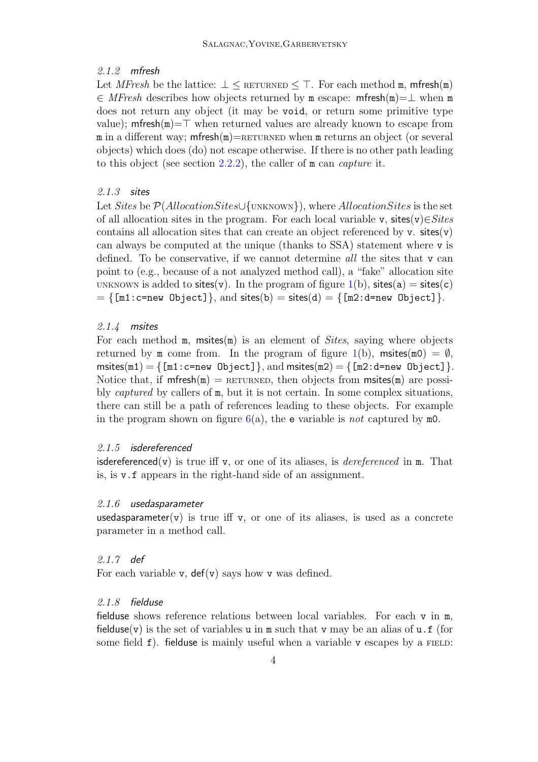#### 2.1.2 mfresh

Let MFresh be the lattice:  $\perp$  < RETURNED < T. For each method m, mfresh(m) ∈ MFresh describes how objects returned by m escape: mfresh(m)=⊥ when m does not return any object (it may be void, or return some primitive type value); methoron  $\equiv$  when returned values are already known to escape from m in a different way; method  $=\text{RETURNED}$  when m returns an object (or several objects) which does (do) not escape otherwise. If there is no other path leading to this object (see section [2.2.2\)](#page-7-0), the caller of m can capture it.

#### 2.1.3 sites

Let Sites be  $P(Allocation Sites \cup \{UNKNOWN\})$ , where AllocationSites is the set of all allocation sites in the program. For each local variable v, sites(v) $\in$ Sites contains all allocation sites that can create an object referenced by  $v$ . sites $(v)$ can always be computed at the unique (thanks to SSA) statement where v is defined. To be conservative, if we cannot determine all the sites that v can point to (e.g., because of a not analyzed method call), a "fake" allocation site UNKNOWN is added to sites(v). In the program of figure  $1(b)$  $1(b)$ , sites(a) = sites(c)  $= \{ \lceil \ln 1 : \text{c=new Object} \rceil, \text{ and sites}(b) = \text{sites}(d) = \{ \lceil \ln 2 : \text{d=new Object} \rceil \}.$ 

#### 2.1.4 msites

For each method  $m$ , msites( $m$ ) is an element of *Sites*, saying where objects returned by m come from. In the program of figure  $1(b)$  $1(b)$ , msites(m0) =  $\emptyset$ , msites(m1) = { $[m1:c=new \; Object]$ }, and msites(m2) = { $[m2:d=new \; Object]$ }. Notice that, if  $m$ fresh $(m)$  = RETURNED, then objects from msites $(m)$  are possibly captured by callers of m, but it is not certain. In some complex situations, there can still be a path of references leading to these objects. For example in the program shown on figure  $6(a)$  $6(a)$ , the **e** variable is not captured by m0.

#### 2.1.5 isdereferenced

isdereferenced(v) is true iff v, or one of its aliases, is *dereferenced* in  $m$ . That is, is v.f appears in the right-hand side of an assignment.

#### 2.1.6 usedasparameter

usedasparameter(v) is true iff v, or one of its aliases, is used as a concrete parameter in a method call.

#### 2.1.7 def

For each variable **v**,  $\text{def}(v)$  says how **v** was defined.

#### 2.1.8 fielduse

fielduse shows reference relations between local variables. For each v in m, fielduse(v) is the set of variables u in  $m$  such that v may be an alias of  $u \cdot f$  (for some field  $f$ ). fielduse is mainly useful when a variable v escapes by a FIELD: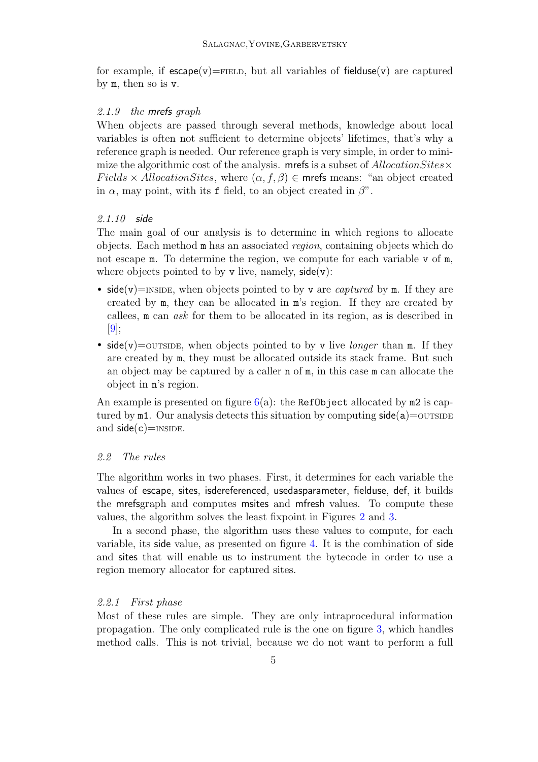for example, if  $\epsilon$ scape(v)=FIELD, but all variables of fielduse(v) are captured by m, then so is v.

#### 2.1.9 the mrefs graph

When objects are passed through several methods, knowledge about local variables is often not sufficient to determine objects' lifetimes, that's why a reference graph is needed. Our reference graph is very simple, in order to minimize the algorithmic cost of the analysis. mrefs is a subset of  $\text{Allocation} \text{Sites} \times$  $Fields \times Allocation Sites,$  where  $(\alpha, f, \beta) \in$  mrefs means: "an object created in  $\alpha$ , may point, with its f field, to an object created in  $\beta$ ".

#### 2.1.10 side

The main goal of our analysis is to determine in which regions to allocate objects. Each method m has an associated region, containing objects which do not escape **m**. To determine the region, we compute for each variable v of **m**, where objects pointed to by  $v$  live, namely,  $side(v)$ :

- side(v)=INSIDE, when objects pointed to by v are *captured* by  $m$ . If they are created by m, they can be allocated in m's region. If they are created by callees, m can ask for them to be allocated in its region, as is described in  $|9|$ ;
- side(v)=outside, when objects pointed to by v live *longer* than m. If they are created by m, they must be allocated outside its stack frame. But such an object may be captured by a caller n of m, in this case m can allocate the object in n's region.

An example is presented on figure  $6(a)$  $6(a)$ : the RefObject allocated by m2 is captured by  $m1$ . Our analysis detects this situation by computing  $side(a) =$ outsine and  $side(c)=$ INSIDE.

#### 2.2 The rules

The algorithm works in two phases. First, it determines for each variable the values of escape, sites, isdereferenced, usedasparameter, fielduse, def, it builds the mrefsgraph and computes msites and mfresh values. To compute these values, the algorithm solves the least fixpoint in Figures [2](#page-6-0) and [3.](#page-6-1)

In a second phase, the algorithm uses these values to compute, for each variable, its side value, as presented on figure [4.](#page-7-1) It is the combination of side and sites that will enable us to instrument the bytecode in order to use a region memory allocator for captured sites.

#### 2.2.1 First phase

Most of these rules are simple. They are only intraprocedural information propagation. The only complicated rule is the one on figure [3,](#page-6-1) which handles method calls. This is not trivial, because we do not want to perform a full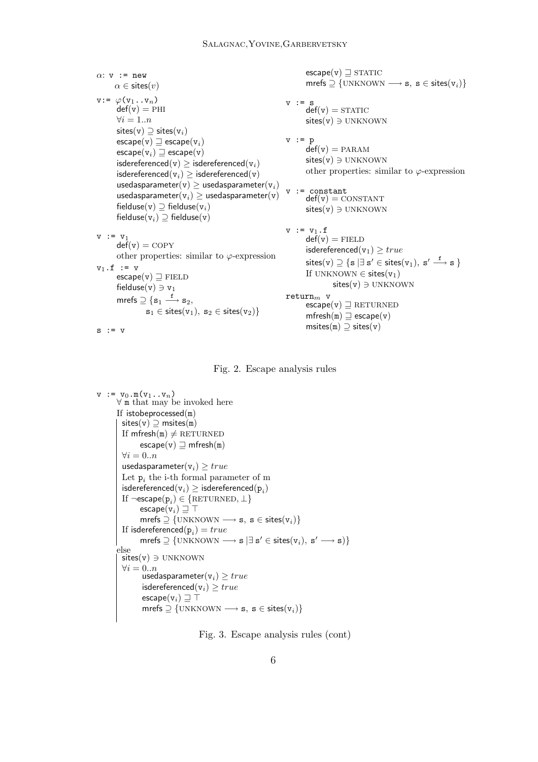$\alpha$ : v := new  $\alpha \in \textsf{sites}(v)$  $v:= \varphi(v_1 \dots v_n)$  $def(v) = PHI$  $\forall i=1..n$ sites(v)  $\supseteq$  sites(v<sub>i</sub>)  $\mathsf{escape}(v) \sqsupseteq \mathsf{escape}(v_i)$  $\mathsf{escape}(v_i) \sqsupseteq \mathsf{escape}(v)$ isdereferenced(v)  $\geq$  isdereferenced(v<sub>i</sub>) isdereferenced( $v_i$ )  $\geq$  isdereferenced(v) usedasparameter(v)  $\geq$  usedasparameter(v<sub>i</sub>) usedasparameter( $v_i$ )  $\geq$  usedasparameter(v) fielduse(v)  $\supseteq$  fielduse(v<sub>i</sub>) fielduse( $v_i$ )  $\supseteq$  fielduse( $v$ )  $v := v_1$  $\det(v) = \text{COPY}$ other properties: similar to  $\varphi$ -expression  $v_1 \cdot f$  := v  $\mathsf{escape}(v) \sqsupset \mathsf{FIELD}$ fielduse(v)  $\ni$  v<sub>1</sub> mrefs  $\supseteq$   $\{s_1 \stackrel{\bf f}{\longrightarrow} s_2,$  $s_1 \in \text{sites}(v_1), s_2 \in \text{sites}(v_2)$  $s := v$  $\mathsf{escape}(v) \sqsupseteq \mathrm{STATIC}$ mrefs  $\supseteq$  {UNKNOWN  $\longrightarrow$  s, s  $\in$  sites( $v_i$ )}  $v := s$  $\det(v) = \text{STATE}$  $sites(v) \ni UNKNOWN$  $v := p$  $def(v) = PARAM$  $sites(v) \ni UNKNOWN$ other properties: similar to  $\varphi$ -expression v := constant  $def(v) = \text{constraint}$  $sites(v) \ni UNKNOWN$  $v := v_1 \cdot f$  $\det(v) =$  FIELD isdereferenced( $v_1$ )  $\geq true$  $\textsf{sites(v)} \supseteq \{\mathtt{s} \, | \exists \, \mathtt{s}' \in \textsf{sites(v}_1), \, \mathtt{s}' \stackrel{\mathtt{f}}{\longrightarrow} \mathtt{s} \, \}$ If UNKNOWN  $\in$  sites( $v_1$ )  $sites(v) \ni UNKNOWN$  $return<sub>m</sub>$  v  $\mathsf{escape}(v)\sqsupseteq \mathrm{RETURNED}$  $m$ fresh $(m) \supseteq cscape(v)$ msites $(m)$   $\supset$  sites $(v)$ 

<span id="page-6-0"></span>

```
v := v_0.m(v_1 \ldots v_n)∀ m that may be invoked here
If istobeprocessed(m)
  sites(v) \supseteq msites(m)
  If mfresh(m) \neq RETURNED
         \mathsf{escape}(v) \sqsupseteq \mathsf{mfresh}(m)\forall i = 0..nusedasparameter(v_i) \geq trueLet \mathbf{p}_i the i-th formal parameter of m
   isdereferenced(\mathtt{v}_i) \geq \mathsf{is}dereferenced(\mathtt{p}_i)If \neg \textsf{escape}(\textsf{p}_i) \in \{\texttt{RETURNED},\bot\}\mathsf{escape}(v_i) \sqsupseteq \topmrefs \supseteq {UNKNOWN \longrightarrow s, s \in sites(v_i)}
   If isdereferenced(\mathbf{p}_i) = truemrefs \supseteq \{ \text{UNKNOWLEDN} \longrightarrow s \mid \exists s' \in \text{sites}(v_i), s' \longrightarrow s) \}else
  sites(v) \ni UNKNOWN\forall i = 0..nusedasparameter(v_i) \geq trueisdereferenced(v_i) \geq trueescape(v_i) \sqsupseteq \topmrefs \supseteq {\text{UNKNOWN}} \longrightarrow s, s \in \text{sites}(v_i)
```
<span id="page-6-1"></span>Fig. 3. Escape analysis rules (cont)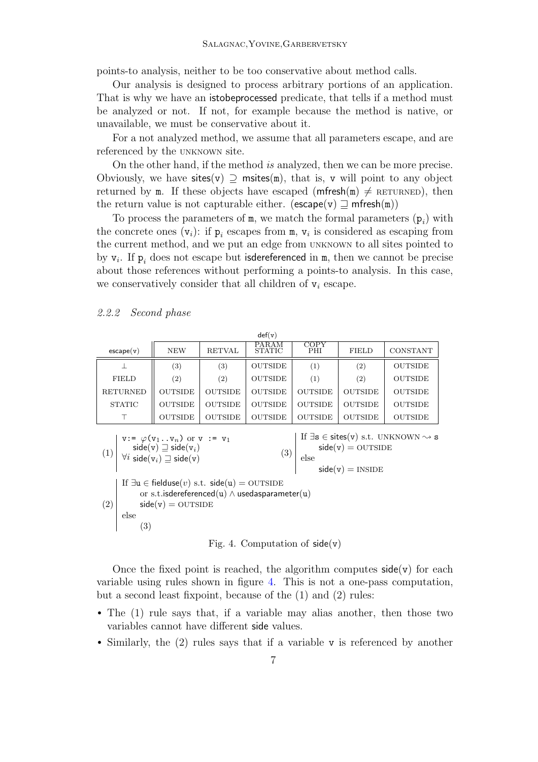points-to analysis, neither to be too conservative about method calls.

Our analysis is designed to process arbitrary portions of an application. That is why we have an istobeprocessed predicate, that tells if a method must be analyzed or not. If not, for example because the method is native, or unavailable, we must be conservative about it.

For a not analyzed method, we assume that all parameters escape, and are referenced by the UNKNOWN site.

On the other hand, if the method is analyzed, then we can be more precise. Obviously, we have sites(v)  $\supseteq$  msites(m), that is, v will point to any object returned by m. If these objects have escaped ( $m$ fresh $(m) \neq R$ ETURNED), then the return value is not capturable either. ( $\mathsf{escape}(v) \sqsupseteq \mathsf{mfresh}(m)$ )

To process the parameters of  $m$ , we match the formal parameters  $(p_i)$  with the concrete ones  $(v_i)$ : if  $p_i$  escapes from m,  $v_i$  is considered as escaping from the current method, and we put an edge from UNKNOWN to all sites pointed to by  $v_i$ . If  $p_i$  does not escape but isdereferenced in m, then we cannot be precise about those references without performing a points-to analysis. In this case, we conservatively consider that all children of  $v_i$  escape.

#### <span id="page-7-0"></span>2.2.2 Second phase

| def(v)             |                   |                   |                        |                   |                   |                |  |  |  |
|--------------------|-------------------|-------------------|------------------------|-------------------|-------------------|----------------|--|--|--|
| $\text{escape}(v)$ | <b>NEW</b>        | <b>RETVAL</b>     | PARAM<br><b>STATIC</b> | COPY<br>PHI       | <b>FIELD</b>      | CONSTANT       |  |  |  |
|                    | $\left( 3\right)$ | $\left( 3\right)$ | <b>OUTSIDE</b>         | $\left( 1\right)$ | $\left( 2\right)$ | <b>OUTSIDE</b> |  |  |  |
| <b>FIELD</b>       | (2)               | $\left( 2\right)$ | <b>OUTSIDE</b>         | $\left( 1\right)$ | $\left( 2\right)$ | <b>OUTSIDE</b> |  |  |  |
| <b>RETURNED</b>    | <b>OUTSIDE</b>    | <b>OUTSIDE</b>    | <b>OUTSIDE</b>         | <b>OUTSIDE</b>    | <b>OUTSIDE</b>    | <b>OUTSIDE</b> |  |  |  |
| <b>STATIC</b>      | <b>OUTSIDE</b>    | <b>OUTSIDE</b>    | <b>OUTSIDE</b>         | <b>OUTSIDE</b>    | <b>OUTSIDE</b>    | <b>OUTSIDE</b> |  |  |  |
|                    | <b>OUTSIDE</b>    | <b>OUTSIDE</b>    | <b>OUTSIDE</b>         | <b>OUTSIDE</b>    | <b>OUTSIDE</b>    | <b>OUTSIDE</b> |  |  |  |

(1)  $v: = \varphi(v_1 \dots v_n)$  or  $v := v_1$  $\forall i$  side $(\mathtt{v}_i) \sqsupseteq \mathsf{side}(\mathtt{v})$  $\mathsf{side}(v) \sqsupseteq \mathsf{side}(v_i)$ (3) If  $\exists s \in \text{sites}(v) \text{ s.t. } \text{UNKNOWLEDN} \sim s$  $side(v) =$  OUTSIDE else  $side(v) = INSIDE$ (2) If  $\exists u \in \text{fields}(v) \text{ s.t. } \text{side}(u) = \text{OUTSIDE}$ or s.t.isdereferenced(u) ∧ usedasparameter(u)  $side(v) =$  OUTSIDE else (3)

<span id="page-7-1"></span>Fig. 4. Computation of  $side(v)$ 

Once the fixed point is reached, the algorithm computes  $side(v)$  for each variable using rules shown in figure [4.](#page-7-1) This is not a one-pass computation, but a second least fixpoint, because of the (1) and (2) rules:

- The (1) rule says that, if a variable may alias another, then those two variables cannot have different side values.
- Similarly, the (2) rules says that if a variable v is referenced by another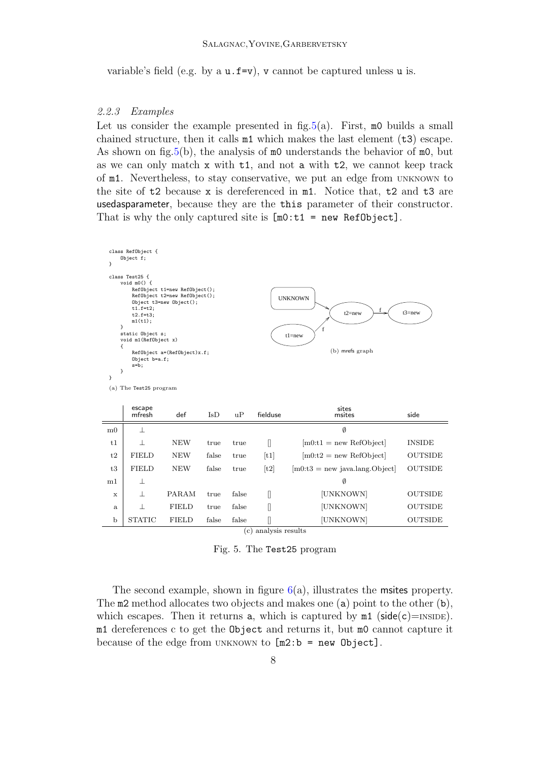variable's field (e.g. by a  $u.f=v$ ), v cannot be captured unless  $u$  is.

#### 2.2.3 Examples

Ė

Let us consider the example presented in fig.  $5(a)$ . First,  $m0$  builds a small chained structure, then it calls  $m1$  which makes the last element ( $t3$ ) escape. As shown on fig[.5\(](#page-8-0)b), the analysis of  $m<sub>0</sub>$  understands the behavior of  $m<sub>0</sub>$ , but as we can only match  $x$  with  $t1$ , and not a with  $t2$ , we cannot keep track of m1. Nevertheless, to stay conservative, we put an edge from UNKNOWN to the site of t2 because x is dereferenced in m1. Notice that, t2 and t3 are usedasparameter, because they are the this parameter of their constructor. That is why the only captured site is  $[m0:t1 = new Ref0bject]$ .

| }                                                                                                                                                                                                                                                                                                                                                                                                              | class RefObject {<br>Object f; |              |               |           |                  |                                   |                |  |
|----------------------------------------------------------------------------------------------------------------------------------------------------------------------------------------------------------------------------------------------------------------------------------------------------------------------------------------------------------------------------------------------------------------|--------------------------------|--------------|---------------|-----------|------------------|-----------------------------------|----------------|--|
| class Test25 f<br>void $m(0)$ {<br>RefObject t1=new RefObject();<br>RefObject t2=new RefObject();<br><b>UNKNOWN</b><br>Object t3=new Object();<br>$t1.f=t2;$<br>f<br>$t3$ =new<br>$t2$ =new<br>$t2.f=t3;$<br>m1(t1);<br>ł<br>f<br>static Object s;<br>$t1$ =new<br>void m1(RefObject x)<br>€<br>(b) mrefs graph<br>RefObject a=(RefObject)x.f;<br>Object b=a.f;<br>$s=b$ ;<br>}<br>}<br>(a) The Test25 program |                                |              |               |           |                  |                                   |                |  |
|                                                                                                                                                                                                                                                                                                                                                                                                                | escape<br>mfresh               | def          | $_{\rm{IsD}}$ | uP        | fielduse         | sites<br>msites                   | side           |  |
| m <sub>0</sub>                                                                                                                                                                                                                                                                                                                                                                                                 | $\perp$                        |              |               |           |                  | Ø                                 |                |  |
| t1                                                                                                                                                                                                                                                                                                                                                                                                             | $\mathbf{1}$                   | <b>NEW</b>   | true          | true      | П                | $[m0:t1]$ = new RefObject         | <b>INSIDE</b>  |  |
| t2                                                                                                                                                                                                                                                                                                                                                                                                             | <b>FIELD</b>                   | <b>NEW</b>   | false         | true      | [t1]             | $[m0:t2] = new \text{RefObject}$  | <b>OUTSIDE</b> |  |
| t3                                                                                                                                                                                                                                                                                                                                                                                                             | <b>FIELD</b>                   | <b>NEW</b>   | false         | true      | [t2]             | $[m0:t3]$ = new java.lang. Object | <b>OUTSIDE</b> |  |
| m1                                                                                                                                                                                                                                                                                                                                                                                                             | ⊥                              |              |               |           |                  | Ø                                 |                |  |
| X                                                                                                                                                                                                                                                                                                                                                                                                              | $\mathbf{1}$                   | <b>PARAM</b> | true          | false     | Л                | [UNKNOWN]                         | <b>OUTSIDE</b> |  |
| a                                                                                                                                                                                                                                                                                                                                                                                                              | $\mathbf{I}$                   | <b>FIELD</b> | true          | false     | I                | [UNKNOWN]                         | <b>OUTSIDE</b> |  |
| b                                                                                                                                                                                                                                                                                                                                                                                                              | <b>STATIC</b>                  | <b>FIELD</b> | false         | false     | ſ                | [UNKNOWN]                         | <b>OUTSIDE</b> |  |
|                                                                                                                                                                                                                                                                                                                                                                                                                |                                |              |               | $\rm (c)$ | analysis results |                                   |                |  |

<span id="page-8-0"></span>Fig. 5. The Test25 program

The second example, shown in figure  $6(a)$  $6(a)$ , illustrates the msites property. The m2 method allocates two objects and makes one (a) point to the other (b), which escapes. Then it returns a, which is captured by  $m1$  (side(c)=INSIDE). m1 dereferences c to get the Object and returns it, but m0 cannot capture it because of the edge from UNKNOWN to  $[m2:b = new Object]$ .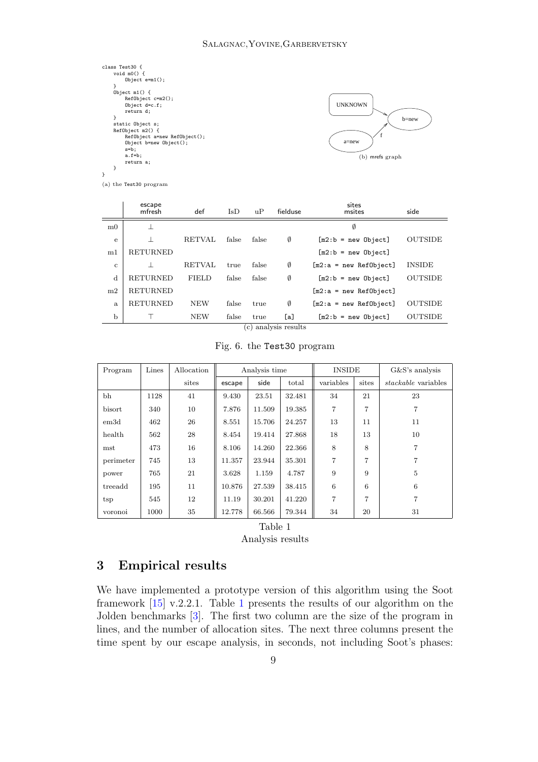| class Test30 {<br>void $m(0)$ { |
|---------------------------------|
| Object $e=m1()$ ;               |
| ł                               |
| Object $m1()$ {                 |
| $RefObject$ $c=m2()$ ;          |
| Object $d=c.f$ ;                |
| return d;                       |
| ł                               |
| static Object s;                |
| RefObject m2() f                |
| RefObject a=new RefObject();    |
| $Object$ b=new $Object()$ ;     |
| $s=b$ :                         |
| $a.f=b;$                        |
| return a;                       |
| ł                               |
|                                 |



(a) the Test30 program

|                                    | escape<br>mfresh | def           | $\overline{I}$ sD | $_{\rm H}$ P | fielduse | sites<br>msites          | side           |  |
|------------------------------------|------------------|---------------|-------------------|--------------|----------|--------------------------|----------------|--|
| m <sub>0</sub>                     |                  |               |                   |              |          | Ø                        |                |  |
| e                                  |                  | <b>RETVAL</b> | false             | false        | Ø        | $[m2:b = new Object]$    | <b>OUTSIDE</b> |  |
| m1                                 | <b>RETURNED</b>  |               |                   |              |          | $[m2:b = new Object]$    |                |  |
| $\mathbf{c}$                       |                  | <b>RETVAL</b> | true              | false        | Ø        | $[m2:a = new Ref0bject]$ | <b>INSIDE</b>  |  |
| d                                  | <b>RETURNED</b>  | <b>FIELD</b>  | false             | false        | Ø        | $[m2:b = new Object]$    | <b>OUTSIDE</b> |  |
| m2                                 | <b>RETURNED</b>  |               |                   |              |          | $[m2:a = new Ref0bject]$ |                |  |
| a                                  | <b>RETURNED</b>  | <b>NEW</b>    | false             | true         | Ø        | $[m2:a = new Ref0bject]$ | <b>OUTSIDE</b> |  |
| $\mathbf b$                        |                  | <b>NEW</b>    | false             | true         | [a]      | $[m2:b = new Object]$    | <b>OUTSIDE</b> |  |
| analysis results<br>$\mathbf{c}$ ) |                  |               |                   |              |          |                          |                |  |

<span id="page-9-0"></span>Fig. 6. the Test30 program

| Program   | Lines | Allocation | Analysis time |        |        | <b>INSIDE</b>  |                | G&S's analysis             |
|-----------|-------|------------|---------------|--------|--------|----------------|----------------|----------------------------|
|           |       | sites      | escape        | side   | total  | variables      | sites          | <i>stackable</i> variables |
| bh        | 1128  | 41         | 9.430         | 23.51  | 32.481 | 34             | 21             | 23                         |
| bisort    | 340   | 10         | 7.876         | 11.509 | 19.385 | 7              | 7              | 7                          |
| em3d      | 462   | 26         | 8.551         | 15.706 | 24.257 | 13             | 11             | 11                         |
| health    | 562   | 28         | 8.454         | 19.414 | 27.868 | 18             | 13             | 10                         |
| mst       | 473   | 16         | 8.106         | 14.260 | 22.366 | 8              | 8              | 7                          |
| perimeter | 745   | 13         | 11.357        | 23.944 | 35.301 | $\overline{7}$ | $\overline{7}$ | 7                          |
| power     | 765   | 21         | 3.628         | 1.159  | 4.787  | 9              | 9              | 5                          |
| treeadd   | 195   | 11         | 10.876        | 27.539 | 38.415 | 6              | 6              | 6                          |
| tsp       | 545   | 12         | 11.19         | 30.201 | 41.220 | 7              | 7              | 7                          |
| voronoi   | 1000  | 35         | 12.778        | 66.566 | 79.344 | 34             | 20             | 31                         |



<span id="page-9-1"></span>Analysis results

## 3 Empirical results

We have implemented a prototype version of this algorithm using the Soot framework [\[15\]](#page-11-11) v.2.2.1. Table [1](#page-9-1) presents the results of our algorithm on the Jolden benchmarks [\[3\]](#page-10-6). The first two column are the size of the program in lines, and the number of allocation sites. The next three columns present the time spent by our escape analysis, in seconds, not including Soot's phases: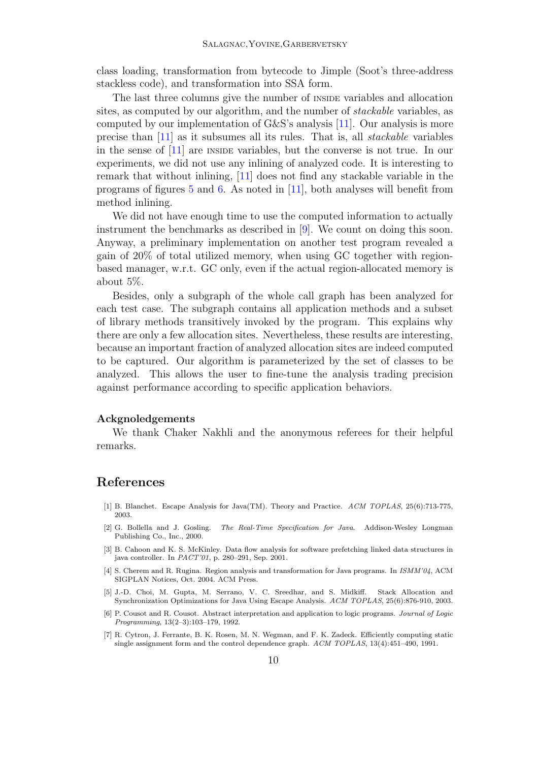class loading, transformation from bytecode to Jimple (Soot's three-address stackless code), and transformation into SSA form.

The last three columns give the number of INSIDE variables and allocation sites, as computed by our algorithm, and the number of stackable variables, as computed by our implementation of G&S's analysis [\[11\]](#page-11-10). Our analysis is more precise than [\[11\]](#page-11-10) as it subsumes all its rules. That is, all stackable variables in the sense of [\[11\]](#page-11-10) are INSIDE variables, but the converse is not true. In our experiments, we did not use any inlining of analyzed code. It is interesting to remark that without inlining, [\[11\]](#page-11-10) does not find any stackable variable in the programs of figures [5](#page-8-0) and [6.](#page-9-0) As noted in [\[11\]](#page-11-10), both analyses will benefit from method inlining.

We did not have enough time to use the computed information to actually instrument the benchmarks as described in [\[9\]](#page-11-8). We count on doing this soon. Anyway, a preliminary implementation on another test program revealed a gain of 20% of total utilized memory, when using GC together with regionbased manager, w.r.t. GC only, even if the actual region-allocated memory is about 5%.

Besides, only a subgraph of the whole call graph has been analyzed for each test case. The subgraph contains all application methods and a subset of library methods transitively invoked by the program. This explains why there are only a few allocation sites. Nevertheless, these results are interesting, because an important fraction of analyzed allocation sites are indeed computed to be captured. Our algorithm is parameterized by the set of classes to be analyzed. This allows the user to fine-tune the analysis trading precision against performance according to specific application behaviors.

#### Ackgnoledgements

We thank Chaker Nakhli and the anonymous referees for their helpful remarks.

### <span id="page-10-2"></span>References

- [1] B. Blanchet. Escape Analysis for Java(TM). Theory and Practice. ACM TOPLAS, 25(6):713-775, 2003.
- <span id="page-10-0"></span>[2] G. Bollella and J. Gosling. The Real-Time Specification for Java. Addison-Wesley Longman Publishing Co., Inc., 2000.
- <span id="page-10-6"></span>[3] B. Cahoon and K. S. McKinley. Data flow analysis for software prefetching linked data structures in java controller. In PACT'01, p. 280–291, Sep. 2001.
- <span id="page-10-1"></span>[4] S. Cherem and R. Rugina. Region analysis and transformation for Java programs. In ISMM'04, ACM SIGPLAN Notices, Oct. 2004. ACM Press.
- <span id="page-10-3"></span>[5] J.-D. Choi, M. Gupta, M. Serrano, V. C. Sreedhar, and S. Midkiff. Stack Allocation and Synchronization Optimizations for Java Using Escape Analysis. ACM TOPLAS, 25(6):876-910, 2003.
- <span id="page-10-5"></span>[6] P. Cousot and R. Cousot. Abstract interpretation and application to logic programs. Journal of Logic Programming, 13(2–3):103–179, 1992.
- <span id="page-10-4"></span>[7] R. Cytron, J. Ferrante, B. K. Rosen, M. N. Wegman, and F. K. Zadeck. Efficiently computing static single assignment form and the control dependence graph. ACM TOPLAS, 13(4):451–490, 1991.